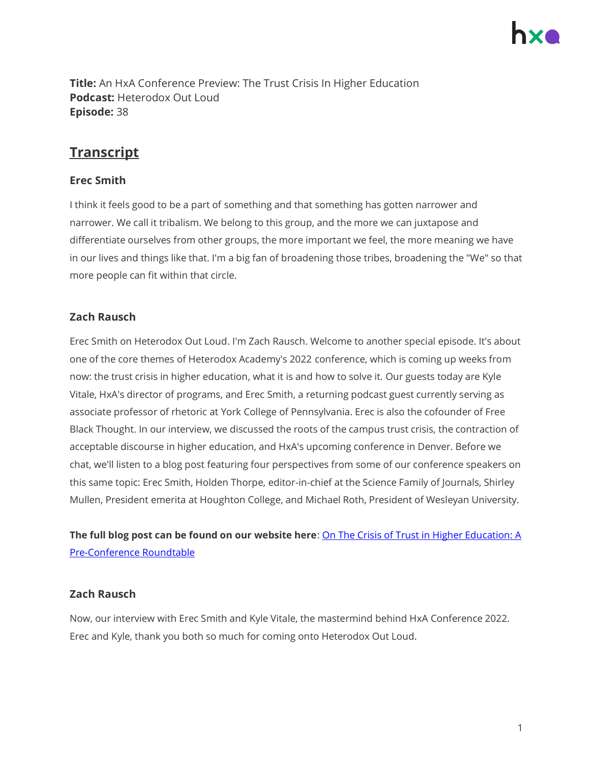

**Title:** An HxA Conference Preview: The Trust Crisis In Higher Education **Podcast:** Heterodox Out Loud **Episode:** 38

# **Transcript**

### **Erec Smith**

I think it feels good to be a part of something and that something has gotten narrower and narrower. We call it tribalism. We belong to this group, and the more we can juxtapose and differentiate ourselves from other groups, the more important we feel, the more meaning we have in our lives and things like that. I'm a big fan of broadening those tribes, broadening the "We" so that more people can fit within that circle.

# **Zach Rausch**

Erec Smith on Heterodox Out Loud. I'm Zach Rausch. Welcome to another special episode. It's about one of the core themes of Heterodox Academy's 2022 conference, which is coming up weeks from now: the trust crisis in higher education, what it is and how to solve it. Our guests today are Kyle Vitale, HxA's director of programs, and Erec Smith, a returning podcast guest currently serving as associate professor of rhetoric at York College of Pennsylvania. Erec is also the cofounder of Free Black Thought. In our interview, we discussed the roots of the campus trust crisis, the contraction of acceptable discourse in higher education, and HxA's upcoming conference in Denver. Before we chat, we'll listen to a blog post featuring four perspectives from some of our conference speakers on this same topic: Erec Smith, Holden Thorpe, editor-in-chief at the Science Family of Journals, Shirley Mullen, President emerita at Houghton College, and Michael Roth, President of Wesleyan University.

**The full blog post can be found on our website here**[: On The Crisis of Trust in Higher Education: A](https://heterodoxacademy.org/blog/on-the-crisis-of-trust-in-higher-education-a-pre-conference-roundtable/)  [Pre-Conference Roundtable](https://heterodoxacademy.org/blog/on-the-crisis-of-trust-in-higher-education-a-pre-conference-roundtable/)

#### **Zach Rausch**

Now, our interview with Erec Smith and Kyle Vitale, the mastermind behind HxA Conference 2022. Erec and Kyle, thank you both so much for coming onto Heterodox Out Loud.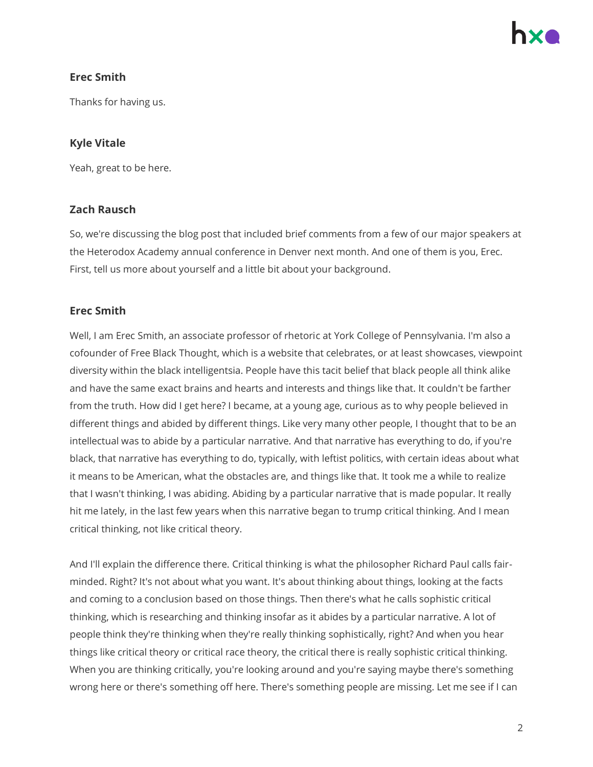# **Erec Smith**

Thanks for having us.

# **Kyle Vitale**

Yeah, great to be here.

#### **Zach Rausch**

So, we're discussing the blog post that included brief comments from a few of our major speakers at the Heterodox Academy annual conference in Denver next month. And one of them is you, Erec. First, tell us more about yourself and a little bit about your background.

# **Erec Smith**

Well, I am Erec Smith, an associate professor of rhetoric at York College of Pennsylvania. I'm also a cofounder of Free Black Thought, which is a website that celebrates, or at least showcases, viewpoint diversity within the black intelligentsia. People have this tacit belief that black people all think alike and have the same exact brains and hearts and interests and things like that. It couldn't be farther from the truth. How did I get here? I became, at a young age, curious as to why people believed in different things and abided by different things. Like very many other people, I thought that to be an intellectual was to abide by a particular narrative. And that narrative has everything to do, if you're black, that narrative has everything to do, typically, with leftist politics, with certain ideas about what it means to be American, what the obstacles are, and things like that. It took me a while to realize that I wasn't thinking, I was abiding. Abiding by a particular narrative that is made popular. It really hit me lately, in the last few years when this narrative began to trump critical thinking. And I mean critical thinking, not like critical theory.

And I'll explain the difference there. Critical thinking is what the philosopher Richard Paul calls fairminded. Right? It's not about what you want. It's about thinking about things, looking at the facts and coming to a conclusion based on those things. Then there's what he calls sophistic critical thinking, which is researching and thinking insofar as it abides by a particular narrative. A lot of people think they're thinking when they're really thinking sophistically, right? And when you hear things like critical theory or critical race theory, the critical there is really sophistic critical thinking. When you are thinking critically, you're looking around and you're saying maybe there's something wrong here or there's something off here. There's something people are missing. Let me see if I can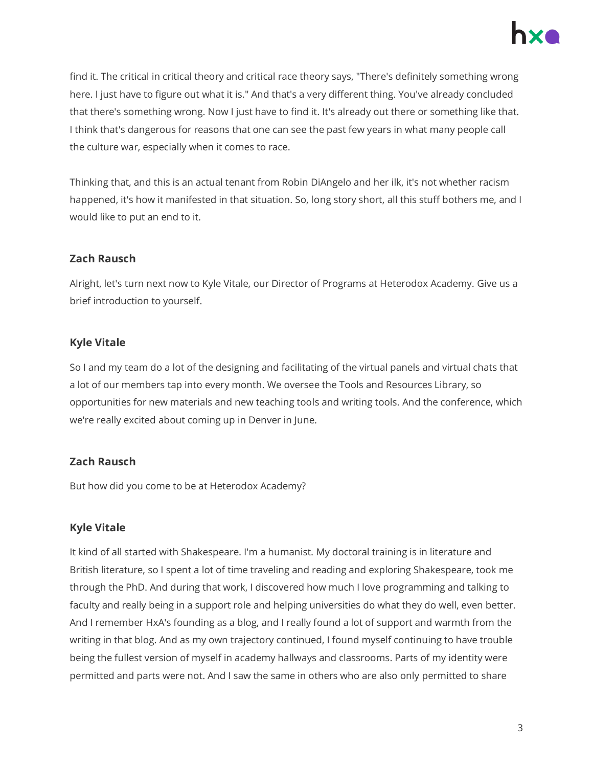

find it. The critical in critical theory and critical race theory says, "There's definitely something wrong here. I just have to figure out what it is." And that's a very different thing. You've already concluded that there's something wrong. Now I just have to find it. It's already out there or something like that. I think that's dangerous for reasons that one can see the past few years in what many people call the culture war, especially when it comes to race.

Thinking that, and this is an actual tenant from Robin DiAngelo and her ilk, it's not whether racism happened, it's how it manifested in that situation. So, long story short, all this stuff bothers me, and I would like to put an end to it.

#### **Zach Rausch**

Alright, let's turn next now to Kyle Vitale, our Director of Programs at Heterodox Academy. Give us a brief introduction to yourself.

#### **Kyle Vitale**

So I and my team do a lot of the designing and facilitating of the virtual panels and virtual chats that a lot of our members tap into every month. We oversee the Tools and Resources Library, so opportunities for new materials and new teaching tools and writing tools. And the conference, which we're really excited about coming up in Denver in June.

# **Zach Rausch**

But how did you come to be at Heterodox Academy?

# **Kyle Vitale**

It kind of all started with Shakespeare. I'm a humanist. My doctoral training is in literature and British literature, so I spent a lot of time traveling and reading and exploring Shakespeare, took me through the PhD. And during that work, I discovered how much I love programming and talking to faculty and really being in a support role and helping universities do what they do well, even better. And I remember HxA's founding as a blog, and I really found a lot of support and warmth from the writing in that blog. And as my own trajectory continued, I found myself continuing to have trouble being the fullest version of myself in academy hallways and classrooms. Parts of my identity were permitted and parts were not. And I saw the same in others who are also only permitted to share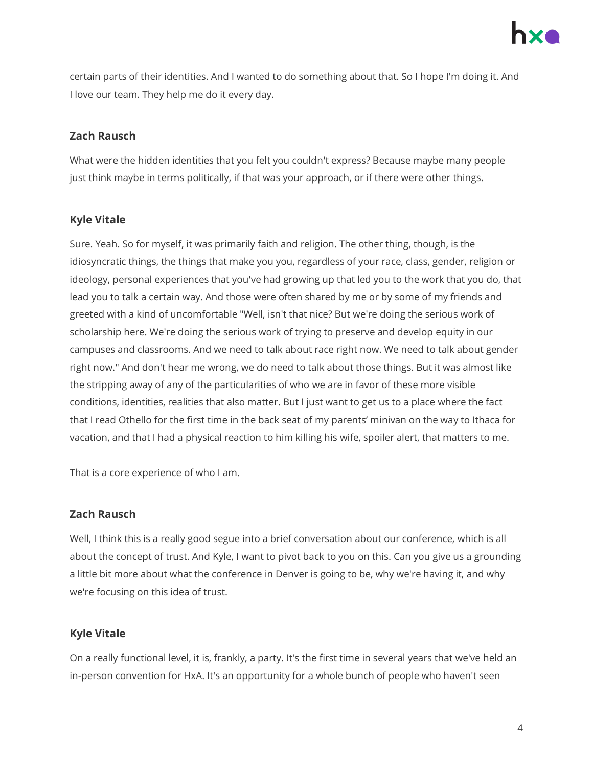

certain parts of their identities. And I wanted to do something about that. So I hope I'm doing it. And I love our team. They help me do it every day.

#### **Zach Rausch**

What were the hidden identities that you felt you couldn't express? Because maybe many people just think maybe in terms politically, if that was your approach, or if there were other things.

# **Kyle Vitale**

Sure. Yeah. So for myself, it was primarily faith and religion. The other thing, though, is the idiosyncratic things, the things that make you you, regardless of your race, class, gender, religion or ideology, personal experiences that you've had growing up that led you to the work that you do, that lead you to talk a certain way. And those were often shared by me or by some of my friends and greeted with a kind of uncomfortable "Well, isn't that nice? But we're doing the serious work of scholarship here. We're doing the serious work of trying to preserve and develop equity in our campuses and classrooms. And we need to talk about race right now. We need to talk about gender right now." And don't hear me wrong, we do need to talk about those things. But it was almost like the stripping away of any of the particularities of who we are in favor of these more visible conditions, identities, realities that also matter. But I just want to get us to a place where the fact that I read Othello for the first time in the back seat of my parents' minivan on the way to Ithaca for vacation, and that I had a physical reaction to him killing his wife, spoiler alert, that matters to me.

That is a core experience of who I am.

#### **Zach Rausch**

Well, I think this is a really good segue into a brief conversation about our conference, which is all about the concept of trust. And Kyle, I want to pivot back to you on this. Can you give us a grounding a little bit more about what the conference in Denver is going to be, why we're having it, and why we're focusing on this idea of trust.

#### **Kyle Vitale**

On a really functional level, it is, frankly, a party. It's the first time in several years that we've held an in-person convention for HxA. It's an opportunity for a whole bunch of people who haven't seen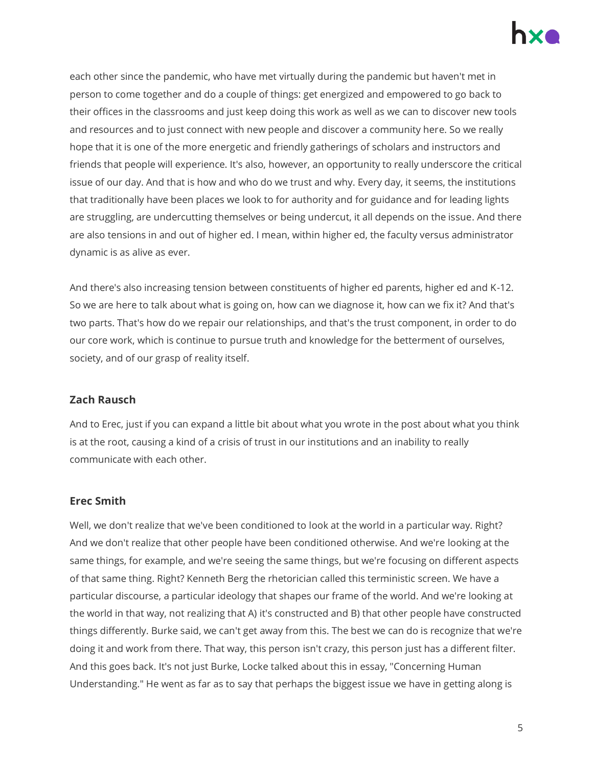

each other since the pandemic, who have met virtually during the pandemic but haven't met in person to come together and do a couple of things: get energized and empowered to go back to their offices in the classrooms and just keep doing this work as well as we can to discover new tools and resources and to just connect with new people and discover a community here. So we really hope that it is one of the more energetic and friendly gatherings of scholars and instructors and friends that people will experience. It's also, however, an opportunity to really underscore the critical issue of our day. And that is how and who do we trust and why. Every day, it seems, the institutions that traditionally have been places we look to for authority and for guidance and for leading lights are struggling, are undercutting themselves or being undercut, it all depends on the issue. And there are also tensions in and out of higher ed. I mean, within higher ed, the faculty versus administrator dynamic is as alive as ever.

And there's also increasing tension between constituents of higher ed parents, higher ed and K-12. So we are here to talk about what is going on, how can we diagnose it, how can we fix it? And that's two parts. That's how do we repair our relationships, and that's the trust component, in order to do our core work, which is continue to pursue truth and knowledge for the betterment of ourselves, society, and of our grasp of reality itself.

#### **Zach Rausch**

And to Erec, just if you can expand a little bit about what you wrote in the post about what you think is at the root, causing a kind of a crisis of trust in our institutions and an inability to really communicate with each other.

#### **Erec Smith**

Well, we don't realize that we've been conditioned to look at the world in a particular way. Right? And we don't realize that other people have been conditioned otherwise. And we're looking at the same things, for example, and we're seeing the same things, but we're focusing on different aspects of that same thing. Right? Kenneth Berg the rhetorician called this terministic screen. We have a particular discourse, a particular ideology that shapes our frame of the world. And we're looking at the world in that way, not realizing that A) it's constructed and B) that other people have constructed things differently. Burke said, we can't get away from this. The best we can do is recognize that we're doing it and work from there. That way, this person isn't crazy, this person just has a different filter. And this goes back. It's not just Burke, Locke talked about this in essay, "Concerning Human Understanding." He went as far as to say that perhaps the biggest issue we have in getting along is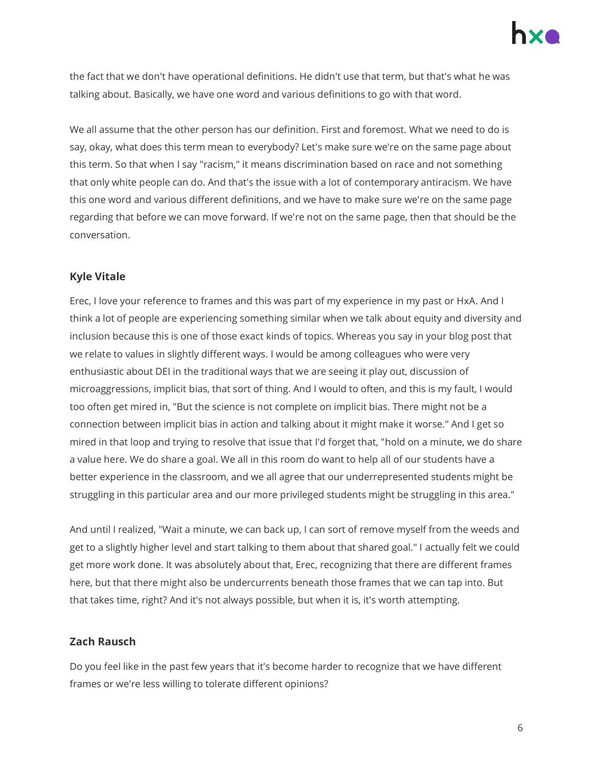

the fact that we don't have operational definitions. He didn't use that term, but that's what he was talking about. Basically, we have one word and various definitions to go with that word.

We all assume that the other person has our definition. First and foremost. What we need to do is say, okay, what does this term mean to everybody? Let's make sure we're on the same page about this term. So that when I say "racism," it means discrimination based on race and not something that only white people can do. And that's the issue with a lot of contemporary antiracism. We have this one word and various different definitions, and we have to make sure we're on the same page regarding that before we can move forward. If we're not on the same page, then that should be the conversation.

#### **Kyle Vitale**

Erec, I love your reference to frames and this was part of my experience in my past or HxA. And I think a lot of people are experiencing something similar when we talk about equity and diversity and inclusion because this is one of those exact kinds of topics. Whereas you say in your blog post that we relate to values in slightly different ways. I would be among colleagues who were very enthusiastic about DEI in the traditional ways that we are seeing it play out, discussion of microaggressions, implicit bias, that sort of thing. And I would to often, and this is my fault, I would too often get mired in, "But the science is not complete on implicit bias. There might not be a connection between implicit bias in action and talking about it might make it worse." And I get so mired in that loop and trying to resolve that issue that I'd forget that, "hold on a minute, we do share a value here. We do share a goal. We all in this room do want to help all of our students have a better experience in the classroom, and we all agree that our underrepresented students might be struggling in this particular area and our more privileged students might be struggling in this area."

And until I realized, "Wait a minute, we can back up, I can sort of remove myself from the weeds and get to a slightly higher level and start talking to them about that shared goal." I actually felt we could get more work done. It was absolutely about that, Erec, recognizing that there are different frames here, but that there might also be undercurrents beneath those frames that we can tap into. But that takes time, right? And it's not always possible, but when it is, it's worth attempting.

#### **Zach Rausch**

Do you feel like in the past few years that it's become harder to recognize that we have different frames or we're less willing to tolerate different opinions?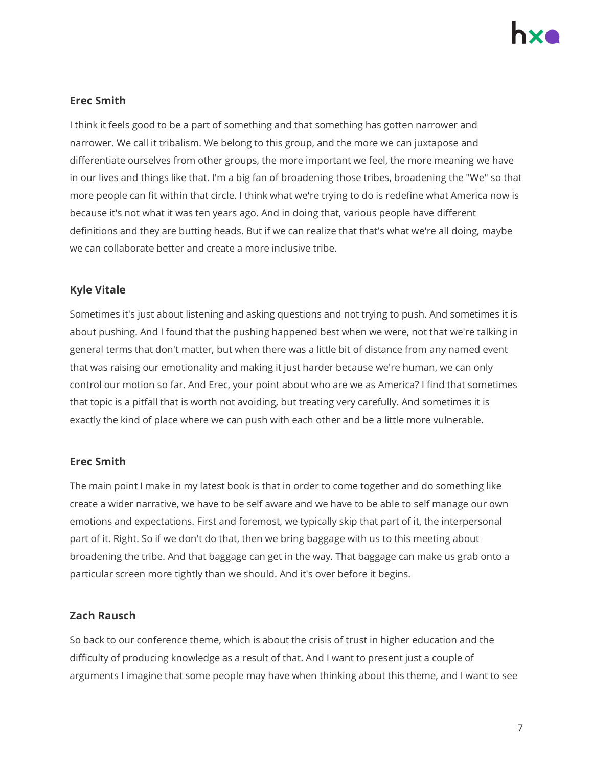

### **Erec Smith**

I think it feels good to be a part of something and that something has gotten narrower and narrower. We call it tribalism. We belong to this group, and the more we can juxtapose and differentiate ourselves from other groups, the more important we feel, the more meaning we have in our lives and things like that. I'm a big fan of broadening those tribes, broadening the "We" so that more people can fit within that circle. I think what we're trying to do is redefine what America now is because it's not what it was ten years ago. And in doing that, various people have different definitions and they are butting heads. But if we can realize that that's what we're all doing, maybe we can collaborate better and create a more inclusive tribe.

# **Kyle Vitale**

Sometimes it's just about listening and asking questions and not trying to push. And sometimes it is about pushing. And I found that the pushing happened best when we were, not that we're talking in general terms that don't matter, but when there was a little bit of distance from any named event that was raising our emotionality and making it just harder because we're human, we can only control our motion so far. And Erec, your point about who are we as America? I find that sometimes that topic is a pitfall that is worth not avoiding, but treating very carefully. And sometimes it is exactly the kind of place where we can push with each other and be a little more vulnerable.

#### **Erec Smith**

The main point I make in my latest book is that in order to come together and do something like create a wider narrative, we have to be self aware and we have to be able to self manage our own emotions and expectations. First and foremost, we typically skip that part of it, the interpersonal part of it. Right. So if we don't do that, then we bring baggage with us to this meeting about broadening the tribe. And that baggage can get in the way. That baggage can make us grab onto a particular screen more tightly than we should. And it's over before it begins.

#### **Zach Rausch**

So back to our conference theme, which is about the crisis of trust in higher education and the difficulty of producing knowledge as a result of that. And I want to present just a couple of arguments I imagine that some people may have when thinking about this theme, and I want to see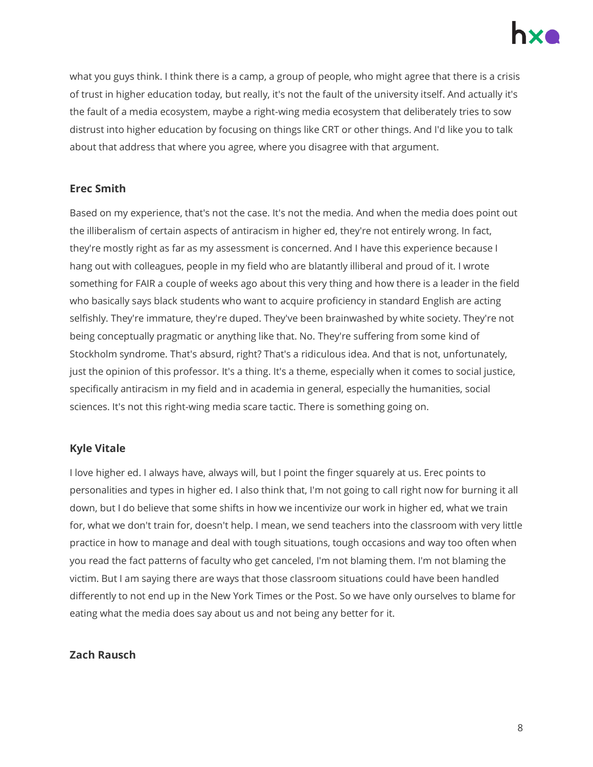

what you guys think. I think there is a camp, a group of people, who might agree that there is a crisis of trust in higher education today, but really, it's not the fault of the university itself. And actually it's the fault of a media ecosystem, maybe a right-wing media ecosystem that deliberately tries to sow distrust into higher education by focusing on things like CRT or other things. And I'd like you to talk about that address that where you agree, where you disagree with that argument.

#### **Erec Smith**

Based on my experience, that's not the case. It's not the media. And when the media does point out the illiberalism of certain aspects of antiracism in higher ed, they're not entirely wrong. In fact, they're mostly right as far as my assessment is concerned. And I have this experience because I hang out with colleagues, people in my field who are blatantly illiberal and proud of it. I wrote something for FAIR a couple of weeks ago about this very thing and how there is a leader in the field who basically says black students who want to acquire proficiency in standard English are acting selfishly. They're immature, they're duped. They've been brainwashed by white society. They're not being conceptually pragmatic or anything like that. No. They're suffering from some kind of Stockholm syndrome. That's absurd, right? That's a ridiculous idea. And that is not, unfortunately, just the opinion of this professor. It's a thing. It's a theme, especially when it comes to social justice, specifically antiracism in my field and in academia in general, especially the humanities, social sciences. It's not this right-wing media scare tactic. There is something going on.

#### **Kyle Vitale**

I love higher ed. I always have, always will, but I point the finger squarely at us. Erec points to personalities and types in higher ed. I also think that, I'm not going to call right now for burning it all down, but I do believe that some shifts in how we incentivize our work in higher ed, what we train for, what we don't train for, doesn't help. I mean, we send teachers into the classroom with very little practice in how to manage and deal with tough situations, tough occasions and way too often when you read the fact patterns of faculty who get canceled, I'm not blaming them. I'm not blaming the victim. But I am saying there are ways that those classroom situations could have been handled differently to not end up in the New York Times or the Post. So we have only ourselves to blame for eating what the media does say about us and not being any better for it.

#### **Zach Rausch**